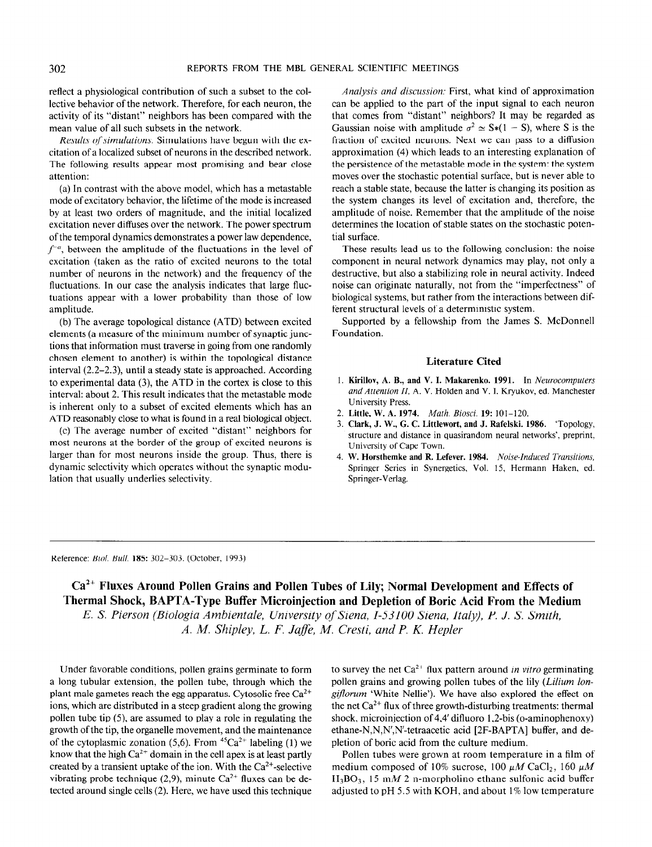reflect a physiological contribution of such a subset to the collective behavior of the network. Therefore, for each neuron, the activity of its "distant" neighbors has been compared with the mean value of all such subsets in the network.

Results of simulations. Simulations have begun with the excitation of a localized subset of neurons in the described network. The following results appear most promising and bear close attention:

(a) In contrast with the above model, which has a metastable mode of excitatory behavior, the lifetime of the mode is increased by at least two orders of magnitude, and the initial localized excitation never diffuses over the network. The power spectrum of the temporal dynamics demonstrates a power law dependence,  $f^{-\alpha}$ , between the amplitude of the fluctuations in the level of excitation (taken as the ratio of excited neurons to the total number of neurons in the network) and the frequency of the fluctuations. In our case the analysis indicates that large fluctuations appear with a lower probability than those of low amplitude.

(b) The average topological distance (ATD) between excited elements (a measure of the minimum number of synaptic junctions that information must traverse in going from one randomly chosen element to another) is within the topological distance interval (2.2-2.3), until a steady state is approached. According to experimental data (3), the ATD in the cortex is close to this interval: about 2. This result indicates that the metastable mode is inherent only to a subset of excited elements which has an ATD reasonably close to what is found in a real biological object.

(c) The average number of excited "distant" neighbors for most neurons at the border of the group of excited neurons is larger than for most neurons inside the group. Thus, there is dynamic selectivity which operates without the synaptic modulation that usually underlies selectivity.

Analysis and discussion: First, what kind of approximation can be applied to the part of the input signal to each neuron that comes from "distant" neighbors? It may be regarded as Gaussian noise with amplitude  $\sigma^2 \simeq S*(1 - S)$ , where S is the fraction of excited neurons. Next we can pass to a diffusion approximation (4) which leads to an interesting explanation of the persistence of the metastable mode in the system: the system moves over the stochastic potential surface, but is never able to reach a stable state, because the latter is changing its position as the system changes its level of excitation and, therefore, the amplitude of noise. Remember that the amplitude of the noise determines the location of stable states on the stochastic potential surface.

These results lead us to the following conclusion: the noise component in neural network dynamics may play, not only a destructive, but also a stabilizing role in neural activity. Indeed noise can originate naturally, not from the "imperfectness" of biological systems, but rather from the interactions between different structural levels of a deterministic system.

Supported by a fellowship from the James S. McDonnell Foundation.

## Literature Cited

- 1. Kirillov, A. B., and V. I. Makarenko. 1991. In Neurocomputers and Attention II, A. V. Holden and V. I. Kryukov, ed. Manchester University Press.
- 2. Little, W. A. 1974. Math. Biosci. 19: 101-120.
- 3. Clark, J. W., G. C. Littlewort, and J. Rafelski. 1986. 'Topology, structure and distance in quasirandom neural networks', preprint, University of Cape Town. 4. W. Horsthemke and R. Lefever. 1984. Noise-Induced Trunsitions,
- $\frac{1}{2}$  Surface and K. Existent Tool. 1968-Thanca Transmons, Springer Series in Synergetics, Vol. 15, Hermann Haken, ed.<br>Springer-Verlag.

Reference: Biol. Bull. 185: 302-303. (October, 1993)

Ca<sup>2+</sup> Fluxes Around Pollen Grains and Pollen Tubes of Lily; Normal Development and Effects of Thermal Shock, BAPTA-Type Buffer Microinjection and Depletion of Boric Acid From the Medium E. S. Pierson (Biologia Ambientale, University of Siena, I-53100 Siena, Italy), P. J. S. Smith,

A. A4. Shipley, L. F. Jufle, M. Cresti, and P. K. Hepler

 $U$  under favorable conditions, politically grains germinate to form germinate to form germinate to form germinate to form Under favorable conditions, pollen grains germinate to form a long tubular extension, the pollen tube, through which the plant male gametes reach the egg apparatus. Cytosolic free  $Ca^{2+}$ ions, which are distributed in a steep gradient along the growing pollen tube tip  $(5)$ , are assumed to play a role in regulating the growth of the tip, the organelle movement, and the maintenance of the cytoplasmic zonation (5,6). From  ${}^{45}Ca^{2+}$  labeling (1) we know that the high  $Ca^{2+}$  domain in the cell apex is at least partly created by a transient uptake of the ion. With the  $Ca^{2+}$ -selective vibrating probe technique (2,9), minute  $Ca^{2+}$  fluxes can be detected around single cells (2). Here, we have used this technique

 $\frac{1}{2}$  flux pattern around in vitro germinating  $\frac{1}{2}$ to survey the liet Ca thus pattern around *in vitro* germinating pollen grains and growing pollen tubes of the lily (Lilium longiflorum 'White Nellie'). We have also explored the effect on the net  $Ca^{2+}$  flux of three growth-disturbing treatments: thermal shock, microinjection of  $4,4'$  difluoro 1,2-bis (o-aminophenoxy) ethane-N,N,N',N'-tetraacetic acid [2F-BAPTA] buffer, and depletion of boric acid from the culture medium.

Pollen tubes were grown at room temperature in a film of medium composed of 10% sucrose, 100  $\mu$ M CaCl<sub>2</sub>, 160  $\mu$ M  $H_3BO_3$ , 15 m*M* 2 n-morpholino ethane sulfonic acid buffer adjusted to pH 5.5 with KOH, and about 1% low temperature